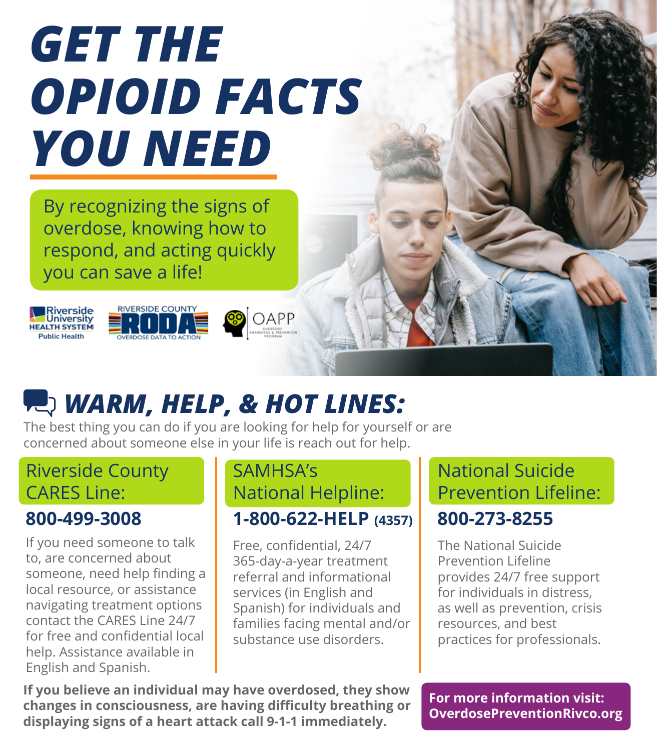

 By recognizing the signs of overdose, knowing how to respond, and acting quickly you can save a life!



### *WARM, HELP, & HOT LINES:*

The best thing you can do if you are looking for help for yourself or are concerned about someone else in your life is reach out for help.

#### Riverside County CARES Line:

#### **800-499-3008**

If you need someone to talk to, are concerned about someone, need help finding a local resource, or assistance navigating treatment options contact the CARES Line 24/7 for free and confidential local help. Assistance available in English and Spanish.

### SAMHSA's National Helpline:

#### **1-800-622-HELP (4357)**

Free, confidential, 24/7 365-day-a-year treatment referral and informational services (in English and Spanish) for individuals and families facing mental and/or substance use disorders.

#### National Suicide Prevention Lifeline: **800-273-8255**

The National Suicide Prevention Lifeline provides 24/7 free support for individuals in distress, as well as prevention, crisis resources, and best practices for professionals.

**If you believe an individual may have overdosed, they show changes in consciousness, are having difficulty breathing or displaying signs of a heart attack call 9-1-1 immediately.**

**For more information visit: OverdosePreventionRivco.org**